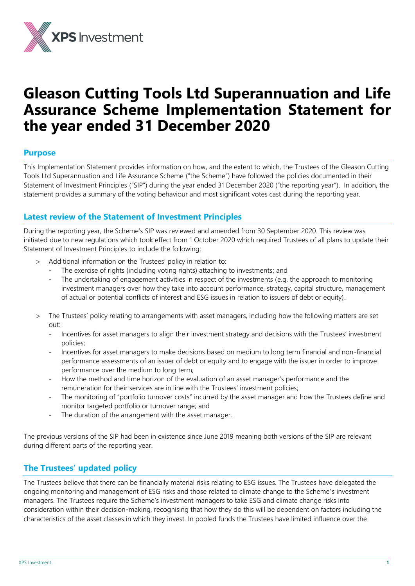

# **Gleason Cutting Tools Ltd Superannuation and Life Assurance Scheme Implementation Statement for the year ended 31 December 2020**

# **Purpose**

This Implementation Statement provides information on how, and the extent to which, the Trustees of the Gleason Cutting Tools Ltd Superannuation and Life Assurance Scheme ("the Scheme") have followed the policies documented in their Statement of Investment Principles ("SIP") during the year ended 31 December 2020 ("the reporting year"). In addition, the statement provides a summary of the voting behaviour and most significant votes cast during the reporting year.

# **Latest review of the Statement of Investment Principles**

During the reporting year, the Scheme's SIP was reviewed and amended from 30 September 2020. This review was initiated due to new regulations which took effect from 1 October 2020 which required Trustees of all plans to update their Statement of Investment Principles to include the following:

- Additional information on the Trustees' policy in relation to:
	- The exercise of rights (including voting rights) attaching to investments; and
	- The undertaking of engagement activities in respect of the investments (e.g. the approach to monitoring investment managers over how they take into account performance, strategy, capital structure, management of actual or potential conflicts of interest and ESG issues in relation to issuers of debt or equity).
- The Trustees' policy relating to arrangements with asset managers, including how the following matters are set out:
	- Incentives for asset managers to align their investment strategy and decisions with the Trustees' investment policies;
	- Incentives for asset managers to make decisions based on medium to long term financial and non-financial performance assessments of an issuer of debt or equity and to engage with the issuer in order to improve performance over the medium to long term;
	- How the method and time horizon of the evaluation of an asset manager's performance and the remuneration for their services are in line with the Trustees' investment policies;
	- The monitoring of "portfolio turnover costs" incurred by the asset manager and how the Trustees define and monitor targeted portfolio or turnover range; and
	- The duration of the arrangement with the asset manager.

The previous versions of the SIP had been in existence since June 2019 meaning both versions of the SIP are relevant during different parts of the reporting year.

# **The Trustees' updated policy**

The Trustees believe that there can be financially material risks relating to ESG issues. The Trustees have delegated the ongoing monitoring and management of ESG risks and those related to climate change to the Scheme's investment managers. The Trustees require the Scheme's investment managers to take ESG and climate change risks into consideration within their decision-making, recognising that how they do this will be dependent on factors including the characteristics of the asset classes in which they invest. In pooled funds the Trustees have limited influence over the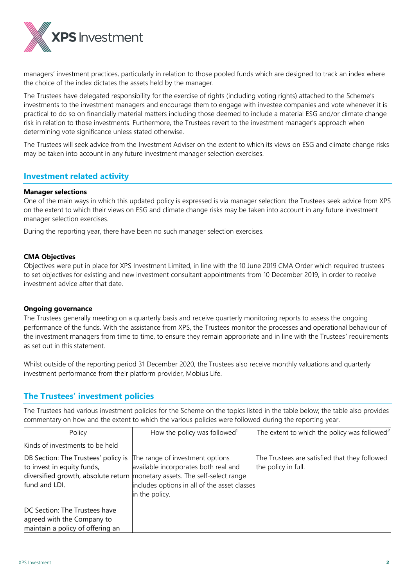

managers' investment practices, particularly in relation to those pooled funds which are designed to track an index where the choice of the index dictates the assets held by the manager.

The Trustees have delegated responsibility for the exercise of rights (including voting rights) attached to the Scheme's investments to the investment managers and encourage them to engage with investee companies and vote whenever it is practical to do so on financially material matters including those deemed to include a material ESG and/or climate change risk in relation to those investments. Furthermore, the Trustees revert to the investment manager's approach when determining vote significance unless stated otherwise.

The Trustees will seek advice from the Investment Adviser on the extent to which its views on ESG and climate change risks may be taken into account in any future investment manager selection exercises.

# **Investment related activity**

# **Manager selections**

One of the main ways in which this updated policy is expressed is via manager selection: the Trustees seek advice from XPS on the extent to which their views on ESG and climate change risks may be taken into account in any future investment manager selection exercises.

During the reporting year, there have been no such manager selection exercises.

# **CMA Objectives**

Objectives were put in place for XPS Investment Limited, in line with the 10 June 2019 CMA Order which required trustees to set objectives for existing and new investment consultant appointments from 10 December 2019, in order to receive investment advice after that date.

# **Ongoing governance**

The Trustees generally meeting on a quarterly basis and receive quarterly monitoring reports to assess the ongoing performance of the funds. With the assistance from XPS, the Trustees monitor the processes and operational behaviour of the investment managers from time to time, to ensure they remain appropriate and in line with the Trustees' requirements as set out in this statement.

Whilst outside of the reporting period 31 December 2020, the Trustees also receive monthly valuations and quarterly investment performance from their platform provider, Mobius Life.

# **The Trustees' investment policies**

The Trustees had various investment policies for the Scheme on the topics listed in the table below; the table also provides commentary on how and the extent to which the various policies were followed during the reporting year.

| Policy                                                                                                                    | How the policy was followed <sup>1</sup>                                                                                                                                             | The extent to which the policy was followed <sup>2</sup>             |
|---------------------------------------------------------------------------------------------------------------------------|--------------------------------------------------------------------------------------------------------------------------------------------------------------------------------------|----------------------------------------------------------------------|
| Kinds of investments to be held                                                                                           |                                                                                                                                                                                      |                                                                      |
| <b>DB Section: The Trustees' policy is The range of investment options</b><br>to invest in equity funds,<br>fund and LDI. | available incorporates both real and<br>diversified growth, absolute return monetary assets. The self-select range<br>includes options in all of the asset classes<br>in the policy. | The Trustees are satisfied that they followed<br>the policy in full. |
| DC Section: The Trustees have<br>agreed with the Company to                                                               |                                                                                                                                                                                      |                                                                      |
| maintain a policy of offering an                                                                                          |                                                                                                                                                                                      |                                                                      |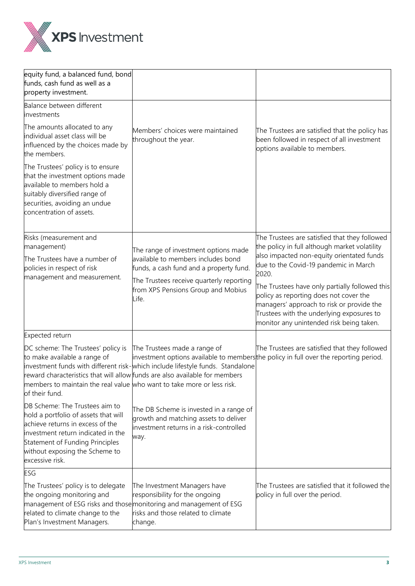

| equity fund, a balanced fund, bond<br>funds, cash fund as well as a<br>property investment.                                                                                                                                              |                                                                                                                                                                                               |                                                                                                                                                                                                                                |  |
|------------------------------------------------------------------------------------------------------------------------------------------------------------------------------------------------------------------------------------------|-----------------------------------------------------------------------------------------------------------------------------------------------------------------------------------------------|--------------------------------------------------------------------------------------------------------------------------------------------------------------------------------------------------------------------------------|--|
| Balance between different<br>investments                                                                                                                                                                                                 |                                                                                                                                                                                               |                                                                                                                                                                                                                                |  |
| The amounts allocated to any<br>individual asset class will be<br>influenced by the choices made by<br>the members.                                                                                                                      | Members' choices were maintained<br>throughout the year.                                                                                                                                      | The Trustees are satisfied that the policy has<br>been followed in respect of all investment<br>options available to members.                                                                                                  |  |
| The Trustees' policy is to ensure<br>that the investment options made<br>available to members hold a<br>suitably diversified range of<br>securities, avoiding an undue<br>concentration of assets.                                       |                                                                                                                                                                                               |                                                                                                                                                                                                                                |  |
| Risks (measurement and                                                                                                                                                                                                                   |                                                                                                                                                                                               | The Trustees are satisfied that they followed                                                                                                                                                                                  |  |
| management)                                                                                                                                                                                                                              | The range of investment options made                                                                                                                                                          | the policy in full although market volatility                                                                                                                                                                                  |  |
| The Trustees have a number of<br>policies in respect of risk                                                                                                                                                                             | available to members includes bond<br>funds, a cash fund and a property fund.                                                                                                                 | also impacted non-equity orientated funds<br>due to the Covid-19 pandemic in March<br>2020.                                                                                                                                    |  |
| management and measurement.                                                                                                                                                                                                              | The Trustees receive quarterly reporting<br>from XPS Pensions Group and Mobius<br>_ife.                                                                                                       | The Trustees have only partially followed this<br>policy as reporting does not cover the<br>managers' approach to risk or provide the<br>Trustees with the underlying exposures to<br>monitor any unintended risk being taken. |  |
| Expected return                                                                                                                                                                                                                          |                                                                                                                                                                                               |                                                                                                                                                                                                                                |  |
| DC scheme: The Trustees' policy is<br>to make available a range of<br>members to maintain the real value who want to take more or less risk.<br>of their fund.                                                                           | The Trustees made a range of<br>investment funds with different risk-which include lifestyle funds. Standalone<br>reward characteristics that will allow funds are also available for members | The Trustees are satisfied that they followed<br>investment options available to membersthe policy in full over the reporting period.                                                                                          |  |
| DB Scheme: The Trustees aim to<br>hold a portfolio of assets that will<br>achieve returns in excess of the<br>investment return indicated in the<br>Statement of Funding Principles<br>without exposing the Scheme to<br>excessive risk. | The DB Scheme is invested in a range of<br>growth and matching assets to deliver<br>investment returns in a risk-controlled<br>way.                                                           |                                                                                                                                                                                                                                |  |
| ESG                                                                                                                                                                                                                                      |                                                                                                                                                                                               |                                                                                                                                                                                                                                |  |
| The Trustees' policy is to delegate<br>the ongoing monitoring and<br>related to climate change to the<br>Plan's Investment Managers.                                                                                                     | The Investment Managers have<br>responsibility for the ongoing<br>management of ESG risks and those monitoring and management of ESG<br>risks and those related to climate<br>change.         | The Trustees are satisfied that it followed the<br>policy in full over the period.                                                                                                                                             |  |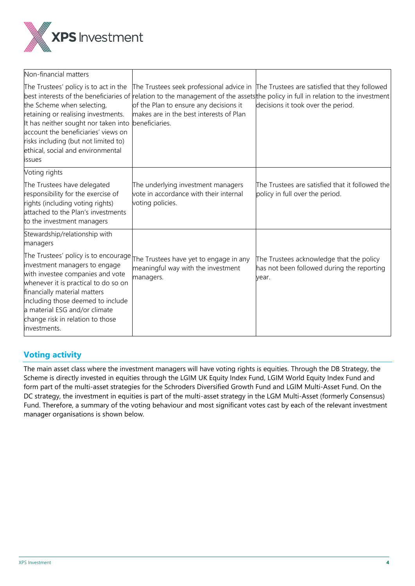

| Non-financial matters                                                                                                                                                                                                                                                                                                      |                                                                                                                                                 |                                                                                                                                                                                  |
|----------------------------------------------------------------------------------------------------------------------------------------------------------------------------------------------------------------------------------------------------------------------------------------------------------------------------|-------------------------------------------------------------------------------------------------------------------------------------------------|----------------------------------------------------------------------------------------------------------------------------------------------------------------------------------|
| The Trustees' policy is to act in the<br>best interests of the beneficiaries of<br>the Scheme when selecting,<br>retaining or realising investments.<br>It has neither sought nor taken into<br>account the beneficiaries' views on<br>risks including (but not limited to)<br>ethical, social and environmental<br>issues | The Trustees seek professional advice in<br>of the Plan to ensure any decisions it<br>makes are in the best interests of Plan<br>beneficiaries. | The Trustees are satisfied that they followed<br>relation to the management of the assets the policy in full in relation to the investment<br>decisions it took over the period. |
| Voting rights                                                                                                                                                                                                                                                                                                              |                                                                                                                                                 |                                                                                                                                                                                  |
| The Trustees have delegated<br>responsibility for the exercise of<br>rights (including voting rights)<br>attached to the Plan's investments<br>to the investment managers                                                                                                                                                  | The underlying investment managers<br>vote in accordance with their internal<br>voting policies.                                                | The Trustees are satisfied that it followed the<br>policy in full over the period.                                                                                               |
| Stewardship/relationship with<br>managers                                                                                                                                                                                                                                                                                  |                                                                                                                                                 |                                                                                                                                                                                  |
| The Trustees' policy is to encourage<br>investment managers to engage<br>with investee companies and vote<br>whenever it is practical to do so on<br>financially material matters<br>including those deemed to include<br>a material ESG and/or climate<br>change risk in relation to those<br>investments.                | The Trustees have yet to engage in any<br>meaningful way with the investment<br>managers.                                                       | The Trustees acknowledge that the policy<br>has not been followed during the reporting<br>vear.                                                                                  |

# **Voting activity**

The main asset class where the investment managers will have voting rights is equities. Through the DB Strategy, the Scheme is directly invested in equities through the LGIM UK Equity Index Fund, LGIM World Equity Index Fund and form part of the multi-asset strategies for the Schroders Diversified Growth Fund and LGIM Multi-Asset Fund. On the DC strategy, the investment in equities is part of the multi-asset strategy in the LGM Multi-Asset (formerly Consensus) Fund. Therefore, a summary of the voting behaviour and most significant votes cast by each of the relevant investment manager organisations is shown below.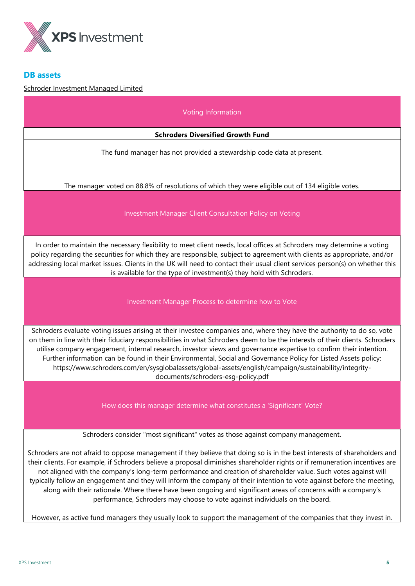

# **DB assets**

# Schroder Investment Managed Limited

| Voting Information                                                                                                                                                                                                                                                                                                                                                                                                                                                                                                                                                                                                                                                                                                                                                                                                        |  |  |  |
|---------------------------------------------------------------------------------------------------------------------------------------------------------------------------------------------------------------------------------------------------------------------------------------------------------------------------------------------------------------------------------------------------------------------------------------------------------------------------------------------------------------------------------------------------------------------------------------------------------------------------------------------------------------------------------------------------------------------------------------------------------------------------------------------------------------------------|--|--|--|
| <b>Schroders Diversified Growth Fund</b>                                                                                                                                                                                                                                                                                                                                                                                                                                                                                                                                                                                                                                                                                                                                                                                  |  |  |  |
| The fund manager has not provided a stewardship code data at present.                                                                                                                                                                                                                                                                                                                                                                                                                                                                                                                                                                                                                                                                                                                                                     |  |  |  |
| The manager voted on 88.8% of resolutions of which they were eligible out of 134 eligible votes.                                                                                                                                                                                                                                                                                                                                                                                                                                                                                                                                                                                                                                                                                                                          |  |  |  |
| Investment Manager Client Consultation Policy on Voting                                                                                                                                                                                                                                                                                                                                                                                                                                                                                                                                                                                                                                                                                                                                                                   |  |  |  |
| In order to maintain the necessary flexibility to meet client needs, local offices at Schroders may determine a voting<br>policy regarding the securities for which they are responsible, subject to agreement with clients as appropriate, and/or<br>addressing local market issues. Clients in the UK will need to contact their usual client services person(s) on whether this<br>is available for the type of investment(s) they hold with Schroders.                                                                                                                                                                                                                                                                                                                                                                |  |  |  |
| Investment Manager Process to determine how to Vote                                                                                                                                                                                                                                                                                                                                                                                                                                                                                                                                                                                                                                                                                                                                                                       |  |  |  |
| Schroders evaluate voting issues arising at their investee companies and, where they have the authority to do so, vote<br>on them in line with their fiduciary responsibilities in what Schroders deem to be the interests of their clients. Schroders<br>utilise company engagement, internal research, investor views and governance expertise to confirm their intention.<br>Further information can be found in their Environmental, Social and Governance Policy for Listed Assets policy:<br>https://www.schroders.com/en/sysglobalassets/global-assets/english/campaign/sustainability/integrity-<br>documents/schroders-esg-policy.pdf                                                                                                                                                                            |  |  |  |
| How does this manager determine what constitutes a 'Significant' Vote?                                                                                                                                                                                                                                                                                                                                                                                                                                                                                                                                                                                                                                                                                                                                                    |  |  |  |
| Schroders consider "most significant" votes as those against company management.                                                                                                                                                                                                                                                                                                                                                                                                                                                                                                                                                                                                                                                                                                                                          |  |  |  |
| Schroders are not afraid to oppose management if they believe that doing so is in the best interests of shareholders and<br>their clients. For example, if Schroders believe a proposal diminishes shareholder rights or if remuneration incentives are<br>not aligned with the company's long-term performance and creation of shareholder value. Such votes against will<br>typically follow an engagement and they will inform the company of their intention to vote against before the meeting,<br>along with their rationale. Where there have been ongoing and significant areas of concerns with a company's<br>performance, Schroders may choose to vote against individuals on the board.<br>However, as active fund managers they usually look to support the management of the companies that they invest in. |  |  |  |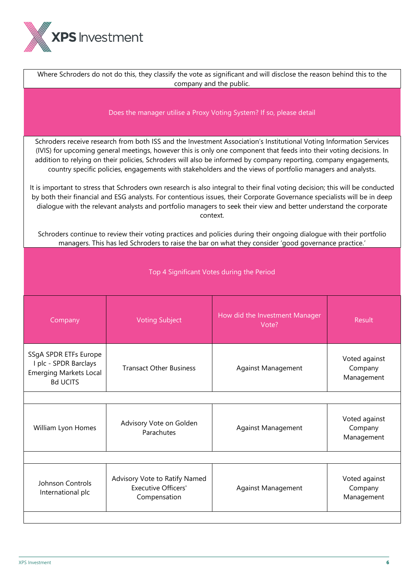

| Where Schroders do not do this, they classify the vote as significant and will disclose the reason behind this to the<br>company and the public.                                                                                                                                                                                                                                                                                                                                                                                                                                                                                                                                                                                                                                                                                                                            |                           |                                                                                                                                                                                                                            |  |  |
|-----------------------------------------------------------------------------------------------------------------------------------------------------------------------------------------------------------------------------------------------------------------------------------------------------------------------------------------------------------------------------------------------------------------------------------------------------------------------------------------------------------------------------------------------------------------------------------------------------------------------------------------------------------------------------------------------------------------------------------------------------------------------------------------------------------------------------------------------------------------------------|---------------------------|----------------------------------------------------------------------------------------------------------------------------------------------------------------------------------------------------------------------------|--|--|
| Does the manager utilise a Proxy Voting System? If so, please detail                                                                                                                                                                                                                                                                                                                                                                                                                                                                                                                                                                                                                                                                                                                                                                                                        |                           |                                                                                                                                                                                                                            |  |  |
| Schroders receive research from both ISS and the Investment Association's Institutional Voting Information Services<br>(IVIS) for upcoming general meetings, however this is only one component that feeds into their voting decisions. In<br>addition to relying on their policies, Schroders will also be informed by company reporting, company engagements,<br>country specific policies, engagements with stakeholders and the views of portfolio managers and analysts.<br>It is important to stress that Schroders own research is also integral to their final voting decision; this will be conducted<br>by both their financial and ESG analysts. For contentious issues, their Corporate Governance specialists will be in deep<br>dialogue with the relevant analysts and portfolio managers to seek their view and better understand the corporate<br>context. |                           |                                                                                                                                                                                                                            |  |  |
|                                                                                                                                                                                                                                                                                                                                                                                                                                                                                                                                                                                                                                                                                                                                                                                                                                                                             |                           |                                                                                                                                                                                                                            |  |  |
| Top 4 Significant Votes during the Period                                                                                                                                                                                                                                                                                                                                                                                                                                                                                                                                                                                                                                                                                                                                                                                                                                   |                           |                                                                                                                                                                                                                            |  |  |
| How did the Investment Manager<br><b>Voting Subject</b><br>Company<br><b>Result</b><br>Vote?                                                                                                                                                                                                                                                                                                                                                                                                                                                                                                                                                                                                                                                                                                                                                                                |                           |                                                                                                                                                                                                                            |  |  |
| <b>Transact Other Business</b>                                                                                                                                                                                                                                                                                                                                                                                                                                                                                                                                                                                                                                                                                                                                                                                                                                              | <b>Against Management</b> | Voted against<br>Company<br>Management                                                                                                                                                                                     |  |  |
|                                                                                                                                                                                                                                                                                                                                                                                                                                                                                                                                                                                                                                                                                                                                                                                                                                                                             |                           |                                                                                                                                                                                                                            |  |  |
| Advisory Vote on Golden<br>Parachutes                                                                                                                                                                                                                                                                                                                                                                                                                                                                                                                                                                                                                                                                                                                                                                                                                                       | Against Management        | Voted against<br>Company<br>Management                                                                                                                                                                                     |  |  |
|                                                                                                                                                                                                                                                                                                                                                                                                                                                                                                                                                                                                                                                                                                                                                                                                                                                                             |                           |                                                                                                                                                                                                                            |  |  |
| Advisory Vote to Ratify Named<br><b>Executive Officers'</b><br>Compensation                                                                                                                                                                                                                                                                                                                                                                                                                                                                                                                                                                                                                                                                                                                                                                                                 | <b>Against Management</b> | Voted against<br>Company<br>Management                                                                                                                                                                                     |  |  |
|                                                                                                                                                                                                                                                                                                                                                                                                                                                                                                                                                                                                                                                                                                                                                                                                                                                                             |                           | Schroders continue to review their voting practices and policies during their ongoing dialogue with their portfolio<br>managers. This has led Schroders to raise the bar on what they consider 'good governance practice.' |  |  |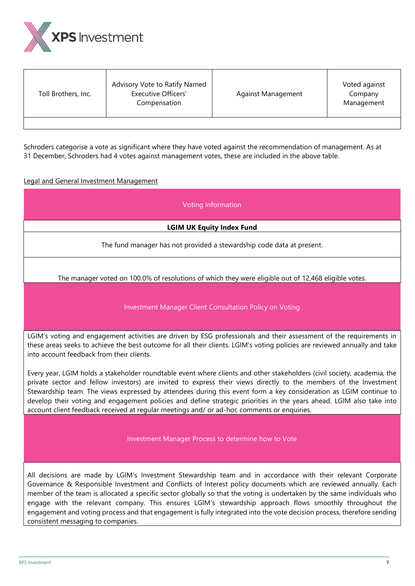

| Toll Brothers, Inc. | Advisory Vote to Ratify Named<br><b>Executive Officers'</b><br>Compensation | Against Management | Voted against<br>Company<br>Management |
|---------------------|-----------------------------------------------------------------------------|--------------------|----------------------------------------|
|                     |                                                                             |                    |                                        |

Schroders categorise a vote as significant where they have voted against the recommendation of management. As at 31 December, Schroders had 4 votes against management votes, these are included in the above table.

# Legal and General Investment Management

| Voting Information                                                                                                                                                                                                                                                                                                                                                                                                                                                                                                                                                                       |  |  |  |
|------------------------------------------------------------------------------------------------------------------------------------------------------------------------------------------------------------------------------------------------------------------------------------------------------------------------------------------------------------------------------------------------------------------------------------------------------------------------------------------------------------------------------------------------------------------------------------------|--|--|--|
| <b>LGIM UK Equity Index Fund</b>                                                                                                                                                                                                                                                                                                                                                                                                                                                                                                                                                         |  |  |  |
| The fund manager has not provided a stewardship code data at present.                                                                                                                                                                                                                                                                                                                                                                                                                                                                                                                    |  |  |  |
| The manager voted on 100.0% of resolutions of which they were eligible out of 12,468 eligible votes.                                                                                                                                                                                                                                                                                                                                                                                                                                                                                     |  |  |  |
| Investment Manager Client Consultation Policy on Voting                                                                                                                                                                                                                                                                                                                                                                                                                                                                                                                                  |  |  |  |
| LGIM's voting and engagement activities are driven by ESG professionals and their assessment of the requirements in<br>these areas seeks to achieve the best outcome for all their clients. LGIM's voting policies are reviewed annually and take<br>into account feedback from their clients.                                                                                                                                                                                                                                                                                           |  |  |  |
| Every year, LGIM holds a stakeholder roundtable event where clients and other stakeholders (civil society, academia, the<br>private sector and fellow investors) are invited to express their views directly to the members of the Investment<br>Stewardship team. The views expressed by attendees during this event form a key consideration as LGIM continue to<br>develop their voting and engagement policies and define strategic priorities in the years ahead. LGIM also take into<br>account client feedback received at regular meetings and/ or ad-hoc comments or enquiries. |  |  |  |
| Investment Manager Process to determine how to Vote                                                                                                                                                                                                                                                                                                                                                                                                                                                                                                                                      |  |  |  |
| All decisions are made by LGIM's Investment Stewardship team and in accordance with their relevant Corporate<br>Governance & Responsible Investment and Conflicts of Interest policy documents which are reviewed annually. Each<br>member of the team is allocated a specific sector globally so that the voting is undertaken by the same individuals who                                                                                                                                                                                                                              |  |  |  |

engage with the relevant company. This ensures LGIM's stewardship approach flows smoothly throughout the engagement and voting process and that engagement is fully integrated into the vote decision process, therefore sending consistent messaging to companies.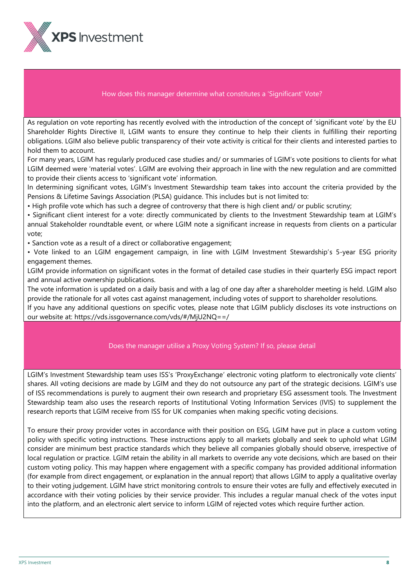

# How does this manager determine what constitutes a 'Significant' Vote?

As regulation on vote reporting has recently evolved with the introduction of the concept of 'significant vote' by the EU Shareholder Rights Directive II, LGIM wants to ensure they continue to help their clients in fulfilling their reporting obligations. LGIM also believe public transparency of their vote activity is critical for their clients and interested parties to hold them to account.

For many years, LGIM has regularly produced case studies and/ or summaries of LGIM's vote positions to clients for what LGIM deemed were 'material votes'. LGIM are evolving their approach in line with the new regulation and are committed to provide their clients access to 'significant vote' information.

In determining significant votes, LGIM's Investment Stewardship team takes into account the criteria provided by the Pensions & Lifetime Savings Association (PLSA) guidance. This includes but is not limited to:

• High profile vote which has such a degree of controversy that there is high client and/ or public scrutiny;

• Significant client interest for a vote: directly communicated by clients to the Investment Stewardship team at LGIM's annual Stakeholder roundtable event, or where LGIM note a significant increase in requests from clients on a particular vote;

- Sanction vote as a result of a direct or collaborative engagement;
- Vote linked to an LGIM engagement campaign, in line with LGIM Investment Stewardship's 5-year ESG priority engagement themes.

LGIM provide information on significant votes in the format of detailed case studies in their quarterly ESG impact report and annual active ownership publications.

The vote information is updated on a daily basis and with a lag of one day after a shareholder meeting is held. LGIM also provide the rationale for all votes cast against management, including votes of support to shareholder resolutions.

If you have any additional questions on specific votes, please note that LGIM publicly discloses its vote instructions on our website at: <https://vds.issgovernance.com/vds/#/MjU2NQ==/>

# Does the manager utilise a Proxy Voting System? If so, please detail

LGIM's Investment Stewardship team uses ISS's 'ProxyExchange' electronic voting platform to electronically vote clients' shares. All voting decisions are made by LGIM and they do not outsource any part of the strategic decisions. LGIM's use of ISS recommendations is purely to augment their own research and proprietary ESG assessment tools. The Investment Stewardship team also uses the research reports of Institutional Voting Information Services (IVIS) to supplement the research reports that LGIM receive from ISS for UK companies when making specific voting decisions.

To ensure their proxy provider votes in accordance with their position on ESG, LGIM have put in place a custom voting policy with specific voting instructions. These instructions apply to all markets globally and seek to uphold what LGIM consider are minimum best practice standards which they believe all companies globally should observe, irrespective of local regulation or practice. LGIM retain the ability in all markets to override any vote decisions, which are based on their custom voting policy. This may happen where engagement with a specific company has provided additional information (for example from direct engagement, or explanation in the annual report) that allows LGIM to apply a qualitative overlay to their voting judgement. LGIM have strict monitoring controls to ensure their votes are fully and effectively executed in accordance with their voting policies by their service provider. This includes a regular manual check of the votes input into the platform, and an electronic alert service to inform LGIM of rejected votes which require further action.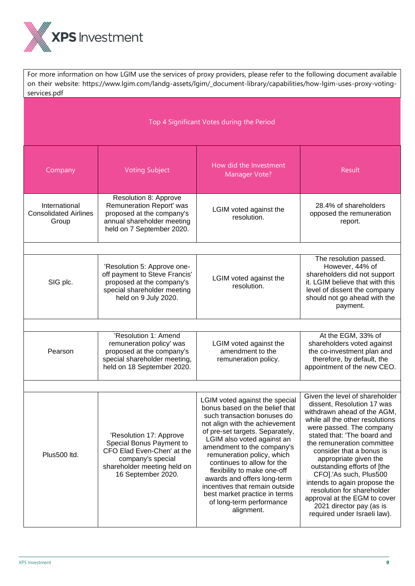

For more information on how LGIM use the services of proxy providers, please refer to the following document available on their website: https://www.lgim.com/landg-assets/lgim/\_document-library/capabilities/how-lgim-uses-proxy-votingservices.pdf

# Top 4 Significant Votes during the Period

| Company                                                | <b>Voting Subject</b>                                                                                                                                       | How did the Investment<br><b>Manager Vote?</b>                                                                                                                                                                                                                                                                                                                                                                                                                          | <b>Result</b>                                                                                                                                                                                                                                                                                                                                                                                                                                                                                   |
|--------------------------------------------------------|-------------------------------------------------------------------------------------------------------------------------------------------------------------|-------------------------------------------------------------------------------------------------------------------------------------------------------------------------------------------------------------------------------------------------------------------------------------------------------------------------------------------------------------------------------------------------------------------------------------------------------------------------|-------------------------------------------------------------------------------------------------------------------------------------------------------------------------------------------------------------------------------------------------------------------------------------------------------------------------------------------------------------------------------------------------------------------------------------------------------------------------------------------------|
| International<br><b>Consolidated Airlines</b><br>Group | Resolution 8: Approve<br>Remuneration Report' was<br>proposed at the company's<br>annual shareholder meeting<br>held on 7 September 2020.                   | LGIM voted against the<br>resolution.                                                                                                                                                                                                                                                                                                                                                                                                                                   | 28.4% of shareholders<br>opposed the remuneration<br>report.                                                                                                                                                                                                                                                                                                                                                                                                                                    |
|                                                        |                                                                                                                                                             |                                                                                                                                                                                                                                                                                                                                                                                                                                                                         |                                                                                                                                                                                                                                                                                                                                                                                                                                                                                                 |
| SIG plc.                                               | 'Resolution 5: Approve one-<br>off payment to Steve Francis'<br>proposed at the company's<br>special shareholder meeting<br>held on 9 July 2020.            | LGIM voted against the<br>resolution.                                                                                                                                                                                                                                                                                                                                                                                                                                   | The resolution passed.<br>However, 44% of<br>shareholders did not support<br>it. LGIM believe that with this<br>level of dissent the company<br>should not go ahead with the<br>payment.                                                                                                                                                                                                                                                                                                        |
|                                                        |                                                                                                                                                             |                                                                                                                                                                                                                                                                                                                                                                                                                                                                         |                                                                                                                                                                                                                                                                                                                                                                                                                                                                                                 |
| Pearson                                                | 'Resolution 1: Amend<br>remuneration policy' was<br>proposed at the company's<br>special shareholder meeting,<br>held on 18 September 2020.                 | LGIM voted against the<br>amendment to the<br>remuneration policy.                                                                                                                                                                                                                                                                                                                                                                                                      | At the EGM, 33% of<br>shareholders voted against<br>the co-investment plan and<br>therefore, by default, the<br>appointment of the new CEO.                                                                                                                                                                                                                                                                                                                                                     |
|                                                        |                                                                                                                                                             |                                                                                                                                                                                                                                                                                                                                                                                                                                                                         |                                                                                                                                                                                                                                                                                                                                                                                                                                                                                                 |
| Plus500 ltd.                                           | 'Resolution 17: Approve<br>Special Bonus Payment to<br>CFO Elad Even-Chen' at the<br>company's special<br>shareholder meeting held on<br>16 September 2020. | LGIM voted against the special<br>bonus based on the belief that<br>such transaction bonuses do<br>not align with the achievement<br>of pre-set targets. Separately,<br>LGIM also voted against an<br>amendment to the company's<br>remuneration policy, which<br>continues to allow for the<br>flexibility to make one-off<br>awards and offers long-term<br>incentives that remain outside<br>best market practice in terms<br>of long-term performance<br>alignment. | Given the level of shareholder<br>dissent, Resolution 17 was<br>withdrawn ahead of the AGM,<br>while all the other resolutions<br>were passed. The company<br>stated that: 'The board and<br>the remuneration committee<br>consider that a bonus is<br>appropriate given the<br>outstanding efforts of [the<br>CFO].'As such, Plus500<br>intends to again propose the<br>resolution for shareholder<br>approval at the EGM to cover<br>2021 director pay (as is<br>required under Israeli law). |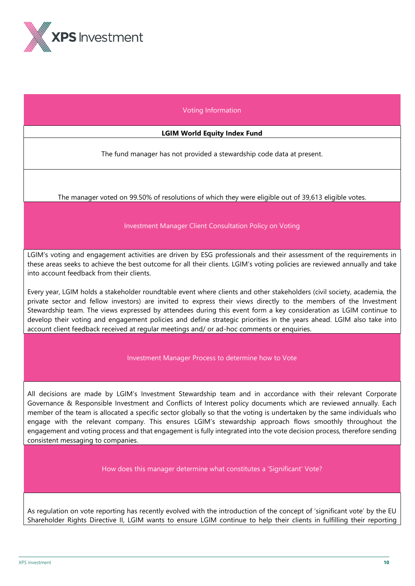

# Voting Information

#### **LGIM World Equity Index Fund**

The fund manager has not provided a stewardship code data at present.

The manager voted on 99.50% of resolutions of which they were eligible out of 39,613 eligible votes.

# Investment Manager Client Consultation Policy on Voting

LGIM's voting and engagement activities are driven by ESG professionals and their assessment of the requirements in these areas seeks to achieve the best outcome for all their clients. LGIM's voting policies are reviewed annually and take into account feedback from their clients.

Every year, LGIM holds a stakeholder roundtable event where clients and other stakeholders (civil society, academia, the private sector and fellow investors) are invited to express their views directly to the members of the Investment Stewardship team. The views expressed by attendees during this event form a key consideration as LGIM continue to develop their voting and engagement policies and define strategic priorities in the years ahead. LGIM also take into account client feedback received at regular meetings and/ or ad-hoc comments or enquiries.

#### Investment Manager Process to determine how to Vote

All decisions are made by LGIM's Investment Stewardship team and in accordance with their relevant Corporate Governance & Responsible Investment and Conflicts of Interest policy documents which are reviewed annually. Each member of the team is allocated a specific sector globally so that the voting is undertaken by the same individuals who engage with the relevant company. This ensures LGIM's stewardship approach flows smoothly throughout the engagement and voting process and that engagement is fully integrated into the vote decision process, therefore sending consistent messaging to companies.

How does this manager determine what constitutes a 'Significant' Vote?

As regulation on vote reporting has recently evolved with the introduction of the concept of 'significant vote' by the EU Shareholder Rights Directive II, LGIM wants to ensure LGIM continue to help their clients in fulfilling their reporting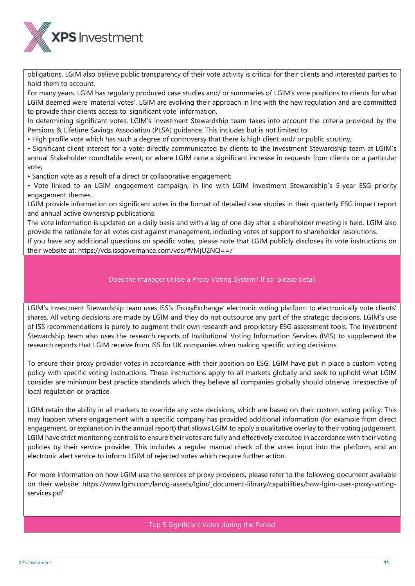

obligations. LGIM also believe public transparency of their vote activity is critical for their clients and interested parties to hold them to account.

For many years, LGIM has regularly produced case studies and/ or summaries of LGIM's vote positions to clients for what LGIM deemed were 'material votes'. LGIM are evolving their approach in line with the new regulation and are committed to provide their clients access to 'significant vote' information.

In determining significant votes, LGIM's Investment Stewardship team takes into account the criteria provided by the Pensions & Lifetime Savings Association (PLSA) guidance. This includes but is not limited to:

• High profile vote which has such a degree of controversy that there is high client and/ or public scrutiny;

• Significant client interest for a vote: directly communicated by clients to the Investment Stewardship team at LGIM's annual Stakeholder roundtable event, or where LGIM note a significant increase in requests from clients on a particular vote;

• Sanction vote as a result of a direct or collaborative engagement;

• Vote linked to an LGIM engagement campaign, in line with LGIM Investment Stewardship's 5-year ESG priority engagement themes.

LGIM provide information on significant votes in the format of detailed case studies in their quarterly ESG impact report and annual active ownership publications.

The vote information is updated on a daily basis and with a lag of one day after a shareholder meeting is held. LGIM also provide the rationale for all votes cast against management, including votes of support to shareholder resolutions.

If you have any additional questions on specific votes, please note that LGIM publicly discloses its vote instructions on their website at: <https://vds.issgovernance.com/vds/#/MjU2NQ==/>

# Does the manager utilise a Proxy Voting System? If so, please detail

LGIM's Investment Stewardship team uses ISS's 'ProxyExchange' electronic voting platform to electronically vote clients' shares. All voting decisions are made by LGIM and they do not outsource any part of the strategic decisions. LGIM's use of ISS recommendations is purely to augment their own research and proprietary ESG assessment tools. The Investment Stewardship team also uses the research reports of Institutional Voting Information Services (IVIS) to supplement the research reports that LGIM receive from ISS for UK companies when making specific voting decisions.

To ensure their proxy provider votes in accordance with their position on ESG, LGIM have put in place a custom voting policy with specific voting instructions. These instructions apply to all markets globally and seek to uphold what LGIM consider are minimum best practice standards which they believe all companies globally should observe, irrespective of local regulation or practice.

LGIM retain the ability in all markets to override any vote decisions, which are based on their custom voting policy. This may happen where engagement with a specific company has provided additional information (for example from direct engagement, or explanation in the annual report) that allows LGIM to apply a qualitative overlay to their voting judgement. LGIM have strict monitoring controls to ensure their votes are fully and effectively executed in accordance with their voting policies by their service provider. This includes a regular manual check of the votes input into the platform, and an electronic alert service to inform LGIM of rejected votes which require further action.

For more information on how LGIM use the services of proxy providers, please refer to the following document available on their website: [https://www.lgim.com/landg-assets/lgim/\\_document-library/capabilities/how-lgim-uses-proxy-voting](https://www.lgim.com/landg-assets/lgim/_document-library/capabilities/how-lgim-uses-proxy-voting-services.pdf)[services.pdf](https://www.lgim.com/landg-assets/lgim/_document-library/capabilities/how-lgim-uses-proxy-voting-services.pdf)

Top 5 Significant Votes during the Period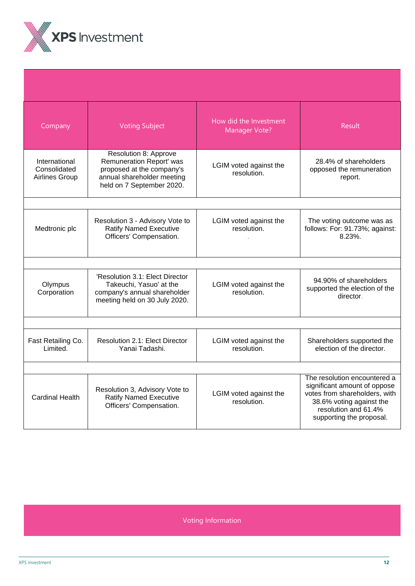

| Company                                                | <b>Voting Subject</b>                                                                                                                     | How did the Investment<br>Manager Vote? | Result                                                                                                                                                                        |  |  |
|--------------------------------------------------------|-------------------------------------------------------------------------------------------------------------------------------------------|-----------------------------------------|-------------------------------------------------------------------------------------------------------------------------------------------------------------------------------|--|--|
| International<br>Consolidated<br><b>Airlines Group</b> | Resolution 8: Approve<br>Remuneration Report' was<br>proposed at the company's<br>annual shareholder meeting<br>held on 7 September 2020. | LGIM voted against the<br>resolution.   | 28.4% of shareholders<br>opposed the remuneration<br>report.                                                                                                                  |  |  |
|                                                        |                                                                                                                                           |                                         |                                                                                                                                                                               |  |  |
| Medtronic plc                                          | Resolution 3 - Advisory Vote to<br><b>Ratify Named Executive</b><br>Officers' Compensation.                                               | LGIM voted against the<br>resolution.   | The voting outcome was as<br>follows: For: 91.73%; against:<br>$8.23\%$ .                                                                                                     |  |  |
|                                                        |                                                                                                                                           |                                         |                                                                                                                                                                               |  |  |
| Olympus<br>Corporation                                 | 'Resolution 3.1: Elect Director<br>Takeuchi, Yasuo' at the<br>company's annual shareholder<br>meeting held on 30 July 2020.               | LGIM voted against the<br>resolution.   | 94.90% of shareholders<br>supported the election of the<br>director.                                                                                                          |  |  |
|                                                        |                                                                                                                                           |                                         |                                                                                                                                                                               |  |  |
| Fast Retailing Co.<br>Limited.                         | Resolution 2.1: Elect Director<br>Yanai Tadashi.                                                                                          | LGIM voted against the<br>resolution.   | Shareholders supported the<br>election of the director.                                                                                                                       |  |  |
|                                                        |                                                                                                                                           |                                         |                                                                                                                                                                               |  |  |
| <b>Cardinal Health</b>                                 | Resolution 3, Advisory Vote to<br><b>Ratify Named Executive</b><br>Officers' Compensation.                                                | LGIM voted against the<br>resolution.   | The resolution encountered a<br>significant amount of oppose<br>votes from shareholders, with<br>38.6% voting against the<br>resolution and 61.4%<br>supporting the proposal. |  |  |

Voting Information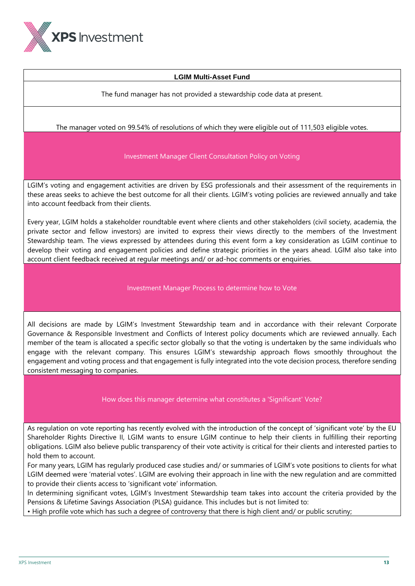

# **LGIM Multi-Asset Fund**

The fund manager has not provided a stewardship code data at present.

# The manager voted on 99.54% of resolutions of which they were eligible out of 111,503 eligible votes.

# Investment Manager Client Consultation Policy on Voting

LGIM's voting and engagement activities are driven by ESG professionals and their assessment of the requirements in these areas seeks to achieve the best outcome for all their clients. LGIM's voting policies are reviewed annually and take into account feedback from their clients.

Every year, LGIM holds a stakeholder roundtable event where clients and other stakeholders (civil society, academia, the private sector and fellow investors) are invited to express their views directly to the members of the Investment Stewardship team. The views expressed by attendees during this event form a key consideration as LGIM continue to develop their voting and engagement policies and define strategic priorities in the years ahead. LGIM also take into account client feedback received at regular meetings and/ or ad-hoc comments or enquiries.

# Investment Manager Process to determine how to Vote

All decisions are made by LGIM's Investment Stewardship team and in accordance with their relevant Corporate Governance & Responsible Investment and Conflicts of Interest policy documents which are reviewed annually. Each member of the team is allocated a specific sector globally so that the voting is undertaken by the same individuals who engage with the relevant company. This ensures LGIM's stewardship approach flows smoothly throughout the engagement and voting process and that engagement is fully integrated into the vote decision process, therefore sending consistent messaging to companies.

# How does this manager determine what constitutes a 'Significant' Vote?

As regulation on vote reporting has recently evolved with the introduction of the concept of 'significant vote' by the EU Shareholder Rights Directive II, LGIM wants to ensure LGIM continue to help their clients in fulfilling their reporting obligations. LGIM also believe public transparency of their vote activity is critical for their clients and interested parties to hold them to account.

For many years, LGIM has regularly produced case studies and/ or summaries of LGIM's vote positions to clients for what LGIM deemed were 'material votes'. LGIM are evolving their approach in line with the new regulation and are committed to provide their clients access to 'significant vote' information.

In determining significant votes, LGIM's Investment Stewardship team takes into account the criteria provided by the Pensions & Lifetime Savings Association (PLSA) guidance. This includes but is not limited to:

• High profile vote which has such a degree of controversy that there is high client and/ or public scrutiny;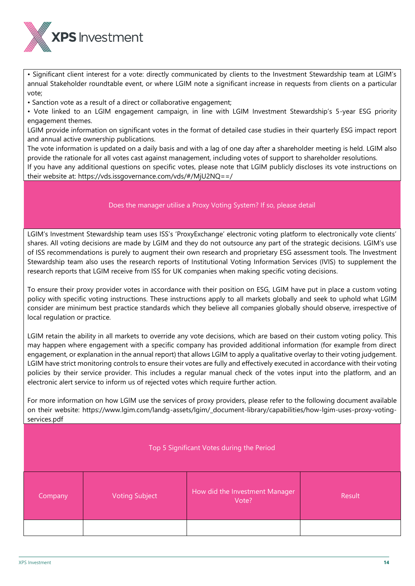

• Significant client interest for a vote: directly communicated by clients to the Investment Stewardship team at LGIM's annual Stakeholder roundtable event, or where LGIM note a significant increase in requests from clients on a particular vote;

• Sanction vote as a result of a direct or collaborative engagement;

• Vote linked to an LGIM engagement campaign, in line with LGIM Investment Stewardship's 5-year ESG priority engagement themes.

LGIM provide information on significant votes in the format of detailed case studies in their quarterly ESG impact report and annual active ownership publications.

The vote information is updated on a daily basis and with a lag of one day after a shareholder meeting is held. LGIM also provide the rationale for all votes cast against management, including votes of support to shareholder resolutions.

If you have any additional questions on specific votes, please note that LGIM publicly discloses its vote instructions on their website at: <https://vds.issgovernance.com/vds/#/MjU2NQ==/>

# Does the manager utilise a Proxy Voting System? If so, please detail

LGIM's Investment Stewardship team uses ISS's 'ProxyExchange' electronic voting platform to electronically vote clients' shares. All voting decisions are made by LGIM and they do not outsource any part of the strategic decisions. LGIM's use of ISS recommendations is purely to augment their own research and proprietary ESG assessment tools. The Investment Stewardship team also uses the research reports of Institutional Voting Information Services (IVIS) to supplement the research reports that LGIM receive from ISS for UK companies when making specific voting decisions.

To ensure their proxy provider votes in accordance with their position on ESG, LGIM have put in place a custom voting policy with specific voting instructions. These instructions apply to all markets globally and seek to uphold what LGIM consider are minimum best practice standards which they believe all companies globally should observe, irrespective of local regulation or practice.

LGIM retain the ability in all markets to override any vote decisions, which are based on their custom voting policy. This may happen where engagement with a specific company has provided additional information (for example from direct engagement, or explanation in the annual report) that allows LGIM to apply a qualitative overlay to their voting judgement. LGIM have strict monitoring controls to ensure their votes are fully and effectively executed in accordance with their voting policies by their service provider. This includes a regular manual check of the votes input into the platform, and an electronic alert service to inform us of rejected votes which require further action.

For more information on how LGIM use the services of proxy providers, please refer to the following document available on their website: https://www.lgim.com/landg-assets/lgim/\_document-library/capabilities/how-lgim-uses-proxy-votingservices.pdf

# Top 5 Significant Votes during the Period

| Company | <b>Voting Subject</b> | How did the Investment Manager<br>Vote? | Result |
|---------|-----------------------|-----------------------------------------|--------|
|         |                       |                                         |        |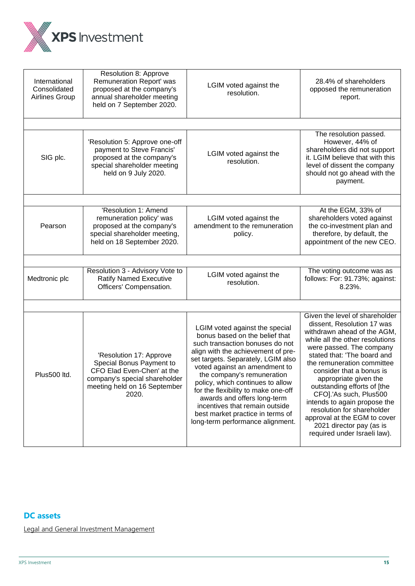

| International<br>Consolidated<br>Airlines Group | Resolution 8: Approve<br>Remuneration Report' was<br>proposed at the company's<br>annual shareholder meeting<br>held on 7 September 2020.                   | LGIM voted against the<br>resolution.                                                                                                                                                                                                                                                                                                                                                                                                                              | 28.4% of shareholders<br>opposed the remuneration<br>report.                                                                                                                                                                                                                                                                                                                                                                                                                                    |
|-------------------------------------------------|-------------------------------------------------------------------------------------------------------------------------------------------------------------|--------------------------------------------------------------------------------------------------------------------------------------------------------------------------------------------------------------------------------------------------------------------------------------------------------------------------------------------------------------------------------------------------------------------------------------------------------------------|-------------------------------------------------------------------------------------------------------------------------------------------------------------------------------------------------------------------------------------------------------------------------------------------------------------------------------------------------------------------------------------------------------------------------------------------------------------------------------------------------|
|                                                 |                                                                                                                                                             |                                                                                                                                                                                                                                                                                                                                                                                                                                                                    |                                                                                                                                                                                                                                                                                                                                                                                                                                                                                                 |
| SIG plc.                                        | 'Resolution 5: Approve one-off<br>payment to Steve Francis'<br>proposed at the company's<br>special shareholder meeting<br>held on 9 July 2020.             | LGIM voted against the<br>resolution.                                                                                                                                                                                                                                                                                                                                                                                                                              | The resolution passed.<br>However, 44% of<br>shareholders did not support<br>it. LGIM believe that with this<br>level of dissent the company<br>should not go ahead with the<br>payment.                                                                                                                                                                                                                                                                                                        |
|                                                 |                                                                                                                                                             |                                                                                                                                                                                                                                                                                                                                                                                                                                                                    |                                                                                                                                                                                                                                                                                                                                                                                                                                                                                                 |
| Pearson                                         | 'Resolution 1: Amend<br>remuneration policy' was<br>proposed at the company's<br>special shareholder meeting,<br>held on 18 September 2020.                 | LGIM voted against the<br>amendment to the remuneration<br>policy.                                                                                                                                                                                                                                                                                                                                                                                                 | At the EGM, 33% of<br>shareholders voted against<br>the co-investment plan and<br>therefore, by default, the<br>appointment of the new CEO.                                                                                                                                                                                                                                                                                                                                                     |
|                                                 |                                                                                                                                                             |                                                                                                                                                                                                                                                                                                                                                                                                                                                                    |                                                                                                                                                                                                                                                                                                                                                                                                                                                                                                 |
| Medtronic plc                                   | Resolution 3 - Advisory Vote to<br><b>Ratify Named Executive</b><br>Officers' Compensation.                                                                 | LGIM voted against the<br>resolution.                                                                                                                                                                                                                                                                                                                                                                                                                              | The voting outcome was as<br>follows: For: 91.73%; against:<br>8.23%.                                                                                                                                                                                                                                                                                                                                                                                                                           |
|                                                 |                                                                                                                                                             |                                                                                                                                                                                                                                                                                                                                                                                                                                                                    |                                                                                                                                                                                                                                                                                                                                                                                                                                                                                                 |
| Plus500 ltd.                                    | 'Resolution 17: Approve<br>Special Bonus Payment to<br>CFO Elad Even-Chen' at the<br>company's special shareholder<br>meeting held on 16 September<br>2020. | LGIM voted against the special<br>bonus based on the belief that<br>such transaction bonuses do not<br>align with the achievement of pre-<br>set targets. Separately, LGIM also<br>voted against an amendment to<br>the company's remuneration<br>policy, which continues to allow<br>for the flexibility to make one-off<br>awards and offers long-term<br>incentives that remain outside<br>best market practice in terms of<br>long-term performance alignment. | Given the level of shareholder<br>dissent, Resolution 17 was<br>withdrawn ahead of the AGM,<br>while all the other resolutions<br>were passed. The company<br>stated that: 'The board and<br>the remuneration committee<br>consider that a bonus is<br>appropriate given the<br>outstanding efforts of [the<br>CFO].'As such, Plus500<br>intends to again propose the<br>resolution for shareholder<br>approval at the EGM to cover<br>2021 director pay (as is<br>required under Israeli law). |

# **DC assets**

Legal and General Investment Management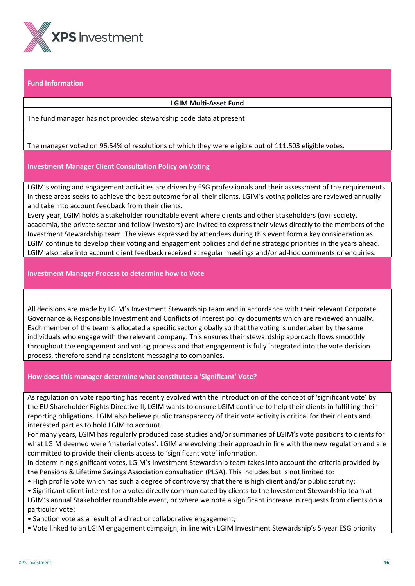

# **Fund Information**

#### **LGIM Multi-Asset Fund**

The fund manager has not provided stewardship code data at present

# The manager voted on 96.54% of resolutions of which they were eligible out of 111,503 eligible votes.

#### **Investment Manager Client Consultation Policy on Voting**

LGIM's voting and engagement activities are driven by ESG professionals and their assessment of the requirements in these areas seeks to achieve the best outcome for all their clients. LGIM's voting policies are reviewed annually and take into account feedback from their clients.

Every year, LGIM holds a stakeholder roundtable event where clients and other stakeholders (civil society, academia, the private sector and fellow investors) are invited to express their views directly to the members of the Investment Stewardship team. The views expressed by attendees during this event form a key consideration as LGIM continue to develop their voting and engagement policies and define strategic priorities in the years ahead. LGIM also take into account client feedback received at regular meetings and/or ad-hoc comments or enquiries.

#### **Investment Manager Process to determine how to Vote**

All decisions are made by LGIM's Investment Stewardship team and in accordance with their relevant Corporate Governance & Responsible Investment and Conflicts of Interest policy documents which are reviewed annually. Each member of the team is allocated a specific sector globally so that the voting is undertaken by the same individuals who engage with the relevant company. This ensures their stewardship approach flows smoothly throughout the engagement and voting process and that engagement is fully integrated into the vote decision process, therefore sending consistent messaging to companies.

#### **How does this manager determine what constitutes a 'Significant' Vote?**

As regulation on vote reporting has recently evolved with the introduction of the concept of 'significant vote' by the EU Shareholder Rights Directive II, LGIM wants to ensure LGIM continue to help their clients in fulfilling their reporting obligations. LGIM also believe public transparency of their vote activity is critical for their clients and interested parties to hold LGIM to account.

For many years, LGIM has regularly produced case studies and/or summaries of LGIM's vote positions to clients for what LGIM deemed were 'material votes'. LGIM are evolving their approach in line with the new regulation and are committed to provide their clients access to 'significant vote' information.

In determining significant votes, LGIM's Investment Stewardship team takes into account the criteria provided by the Pensions & Lifetime Savings Association consultation (PLSA). This includes but is not limited to:

- High profile vote which has such a degree of controversy that there is high client and/or public scrutiny;
- Significant client interest for a vote: directly communicated by clients to the Investment Stewardship team at LGIM's annual Stakeholder roundtable event, or where we note a significant increase in requests from clients on a particular vote;
- Sanction vote as a result of a direct or collaborative engagement;
- Vote linked to an LGIM engagement campaign, in line with LGIM Investment Stewardship's 5-year ESG priority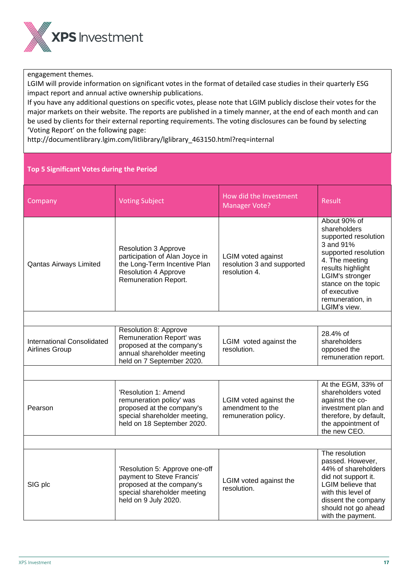

engagement themes.

LGIM will provide information on significant votes in the format of detailed case studies in their quarterly ESG impact report and annual active ownership publications.

If you have any additional questions on specific votes, please note that LGIM publicly disclose their votes for the major markets on their website. The reports are published in a timely manner, at the end of each month and can be used by clients for their external reporting requirements. The voting disclosures can be found by selecting 'Voting Report' on the following page:

http://documentlibrary.lgim.com/litlibrary/lglibrary\_463150.html?req=internal

# **Top 5 Significant Votes during the Period**

| Company                                                    | <b>Voting Subject</b>                                                                                                                                | How did the Investment<br><b>Manager Vote?</b>                           | Result                                                                                                                                                                                                                         |  |
|------------------------------------------------------------|------------------------------------------------------------------------------------------------------------------------------------------------------|--------------------------------------------------------------------------|--------------------------------------------------------------------------------------------------------------------------------------------------------------------------------------------------------------------------------|--|
| <b>Qantas Airways Limited</b>                              | <b>Resolution 3 Approve</b><br>participation of Alan Joyce in<br>the Long-Term Incentive Plan<br><b>Resolution 4 Approve</b><br>Remuneration Report. | <b>LGIM voted against</b><br>resolution 3 and supported<br>resolution 4. | About 90% of<br>shareholders<br>supported resolution<br>3 and 91%<br>supported resolution<br>4. The meeting<br>results highlight<br>LGIM's stronger<br>stance on the topic<br>of executive<br>remuneration, in<br>LGIM's view. |  |
|                                                            |                                                                                                                                                      |                                                                          |                                                                                                                                                                                                                                |  |
| <b>International Consolidated</b><br><b>Airlines Group</b> | Resolution 8: Approve<br>Remuneration Report' was<br>proposed at the company's<br>annual shareholder meeting<br>held on 7 September 2020.            | LGIM voted against the<br>resolution.                                    | 28.4% of<br>shareholders<br>opposed the<br>remuneration report.                                                                                                                                                                |  |
|                                                            |                                                                                                                                                      |                                                                          |                                                                                                                                                                                                                                |  |
| Pearson                                                    | 'Resolution 1: Amend<br>remuneration policy' was<br>proposed at the company's<br>special shareholder meeting,<br>held on 18 September 2020.          | LGIM voted against the<br>amendment to the<br>remuneration policy.       | At the EGM, 33% of<br>shareholders voted<br>against the co-<br>investment plan and<br>therefore, by default,<br>the appointment of<br>the new CEO.                                                                             |  |
|                                                            |                                                                                                                                                      |                                                                          |                                                                                                                                                                                                                                |  |
| SIG plc                                                    | 'Resolution 5: Approve one-off<br>payment to Steve Francis'<br>proposed at the company's<br>special shareholder meeting<br>held on 9 July 2020.      | LGIM voted against the<br>resolution.                                    | The resolution<br>passed. However,<br>44% of shareholders<br>did not support it.<br><b>LGIM</b> believe that<br>with this level of<br>dissent the company<br>should not go ahead<br>with the payment.                          |  |